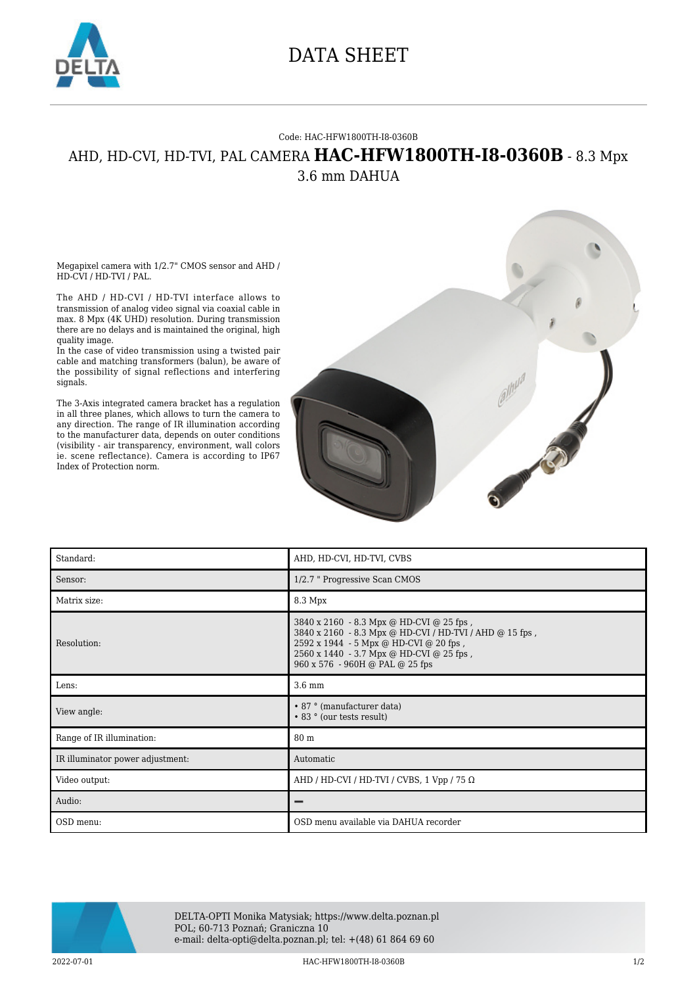

## DATA SHEET

## Code: HAC-HFW1800TH-I8-0360B

## AHD, HD-CVI, HD-TVI, PAL CAMERA **HAC-HFW1800TH-I8-0360B** - 8.3 Mpx 3.6 mm DAHUA

Megapixel camera with 1/2.7" CMOS sensor and AHD / HD-CVI / HD-TVI / PAL.

The AHD / HD-CVI / HD-TVI interface allows to transmission of analog video signal via coaxial cable in max. 8 Mpx (4K UHD) resolution. During transmission there are no delays and is maintained the original, high quality image.

In the case of video transmission using a twisted pair cable and matching transformers (balun), be aware of the possibility of signal reflections and interfering signals.

The 3-Axis integrated camera bracket has a regulation in all three planes, which allows to turn the camera to any direction. The range of IR illumination according to the manufacturer data, depends on outer conditions (visibility - air transparency, environment, wall colors ie. scene reflectance). Camera is according to IP67 Index of Protection norm.



| Standard:                        | AHD, HD-CVI, HD-TVI, CVBS                                                                                                                                                                                                    |
|----------------------------------|------------------------------------------------------------------------------------------------------------------------------------------------------------------------------------------------------------------------------|
| Sensor:                          | 1/2.7 " Progressive Scan CMOS                                                                                                                                                                                                |
| Matrix size:                     | 8.3 Mpx                                                                                                                                                                                                                      |
| Resolution:                      | 3840 x 2160 - 8.3 Mpx @ HD-CVI @ 25 fps,<br>3840 x 2160 - 8.3 Mpx @ HD-CVI / HD-TVI / AHD @ 15 fps,<br>2592 x 1944 - 5 Mpx @ HD-CVI @ 20 fps,<br>2560 x 1440 - 3.7 Mpx @ HD-CVI @ 25 fps,<br>960 x 576 - 960H @ PAL @ 25 fps |
| Lens:                            | $3.6 \text{ mm}$                                                                                                                                                                                                             |
| View angle:                      | • 87 ° (manufacturer data)<br>• 83 ° (our tests result)                                                                                                                                                                      |
| Range of IR illumination:        | 80 m                                                                                                                                                                                                                         |
| IR illuminator power adjustment: | Automatic                                                                                                                                                                                                                    |
| Video output:                    | AHD / HD-CVI / HD-TVI / CVBS, 1 Vpp / 75 $\Omega$                                                                                                                                                                            |
| Audio:                           |                                                                                                                                                                                                                              |
| OSD menu:                        | OSD menu available via DAHUA recorder                                                                                                                                                                                        |



DELTA-OPTI Monika Matysiak; https://www.delta.poznan.pl POL; 60-713 Poznań; Graniczna 10 e-mail: delta-opti@delta.poznan.pl; tel: +(48) 61 864 69 60